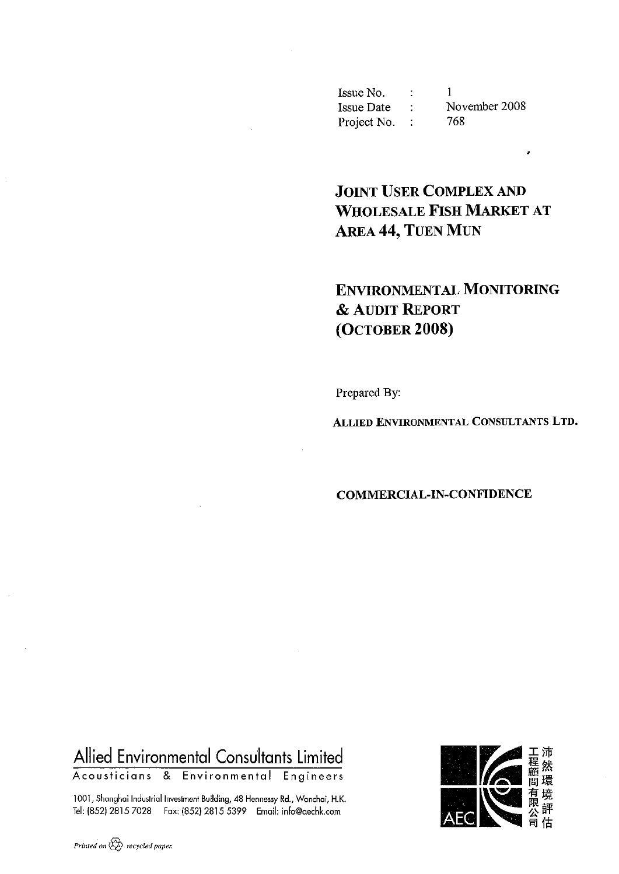| Issue No.   |               |
|-------------|---------------|
| Issue Date  | November 2008 |
| Project No. | 768.          |

# **JOINT USER COMPLEX AND WHOLESALE FISH MARKET AT AREA 44, TUEN MUN**

 $\overline{z}$ 

# **ENVIRONMENTAL MONITORING & AUDIT REPORT** (OCTOBER 2008)

Prepared By:

ALLIED ENVIRONMENTAL CONSULTANTS LTD.

#### **COMMERCIAL-IN-CONFIDENCE**

# Allied Environmental Consultants Limited

Acousticians & Environmental Engineers

1001, Shanghai Industrial Investment Building, 48 Hennessy Rd., Wanchai, H.K. Tel: (852) 2815 7028 Fax: (852) 2815 5399 Email: info@aechk.com

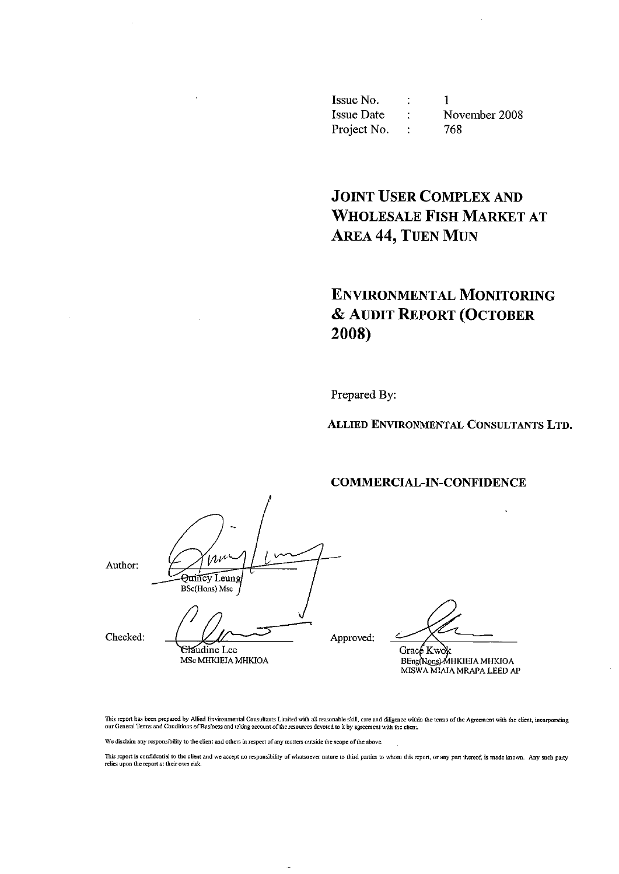Issue No.  $\ddot{\cdot}$  $\mathbf{1}$ **Issue Date** November 2008  $\mathcal{I}^{\mathcal{I}}$  . Project No. : 768

**JOINT USER COMPLEX AND WHOLESALE FISH MARKET AT AREA 44, TUEN MUN** 

# **ENVIRONMENTAL MONITORING** & AUDIT REPORT (OCTOBER 2008)

Prepared By:

ALLIED ENVIRONMENTAL CONSULTANTS LTD.

**COMMERCIAL-IN-CONFIDENCE** 

Author:

 $1/\lambda$ Quincy Leung **BSc(Hons)** Msc Claudine Lee

MSc MHKIEIA MHKIOA

Checked:

Approved:

Grace Kwok

BEng(Nons) MHKIEIA MHKIOA MISWA MIAIA MRAPA LEED AP

This report has been prepared by Allied Environmental Consultants Limited with all reasonable skill, care and diligence within the terms of the Agreement with the client, incorporating our General Terms and Conditions of Business and taking account of the resources devoted to it by agreement with the client.

We disclaim any responsibility to the client and others in respect of any matters outside the scope of the above.

This report is confidential to the client and we accept no responsibility of whatsoever nature to third parties to whom this report, or any part thereof, is made known. Any such party relies upon the report at their own risk.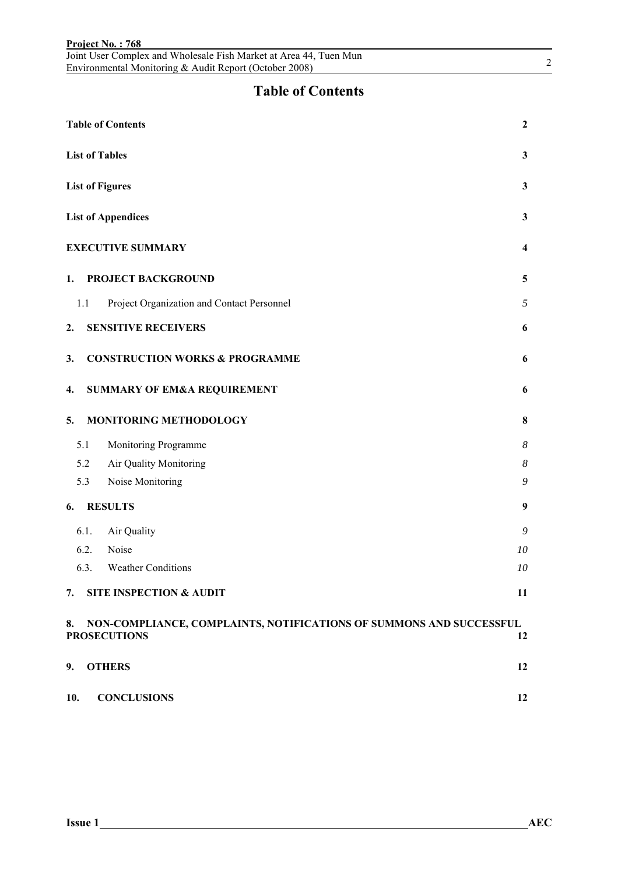|      | Joint User Complex and Wholesale Fish Market at Area 44, Tuen Mun<br>Environmental Monitoring & Audit Report (October 2008) | $\overline{2}$   |
|------|-----------------------------------------------------------------------------------------------------------------------------|------------------|
|      | <b>Table of Contents</b>                                                                                                    |                  |
|      | <b>Table of Contents</b>                                                                                                    | $\boldsymbol{2}$ |
|      | <b>List of Tables</b>                                                                                                       | 3                |
|      | <b>List of Figures</b>                                                                                                      | $\mathbf{3}$     |
|      | <b>List of Appendices</b>                                                                                                   | 3                |
|      | <b>EXECUTIVE SUMMARY</b>                                                                                                    | 4                |
| 1.   | PROJECT BACKGROUND                                                                                                          | 5                |
| 1.1  | Project Organization and Contact Personnel                                                                                  | 5                |
| 2.   | <b>SENSITIVE RECEIVERS</b>                                                                                                  | 6                |
| 3.   | <b>CONSTRUCTION WORKS &amp; PROGRAMME</b>                                                                                   | 6                |
| 4.   | <b>SUMMARY OF EM&amp;A REQUIREMENT</b>                                                                                      | 6                |
| 5.   | MONITORING METHODOLOGY                                                                                                      | 8                |
| 5.1  | Monitoring Programme                                                                                                        | 8                |
| 5.2  | Air Quality Monitoring                                                                                                      | 8                |
| 5.3  | Noise Monitoring                                                                                                            | 9                |
| 6.   | <b>RESULTS</b>                                                                                                              | 9                |
| 6.1. | Air Quality                                                                                                                 | 9                |
| 6.2. | Noise                                                                                                                       | 10               |
| 6.3. | <b>Weather Conditions</b>                                                                                                   | 10               |
| 7.   | <b>SITE INSPECTION &amp; AUDIT</b>                                                                                          | 11               |
| 8.   | NON-COMPLIANCE, COMPLAINTS, NOTIFICATIONS OF SUMMONS AND SUCCESSFUL<br><b>PROSECUTIONS</b>                                  | 12               |
| 9.   | <b>OTHERS</b>                                                                                                               | 12               |
| 10.  | <b>CONCLUSIONS</b>                                                                                                          | 12               |

**Project No. : 768**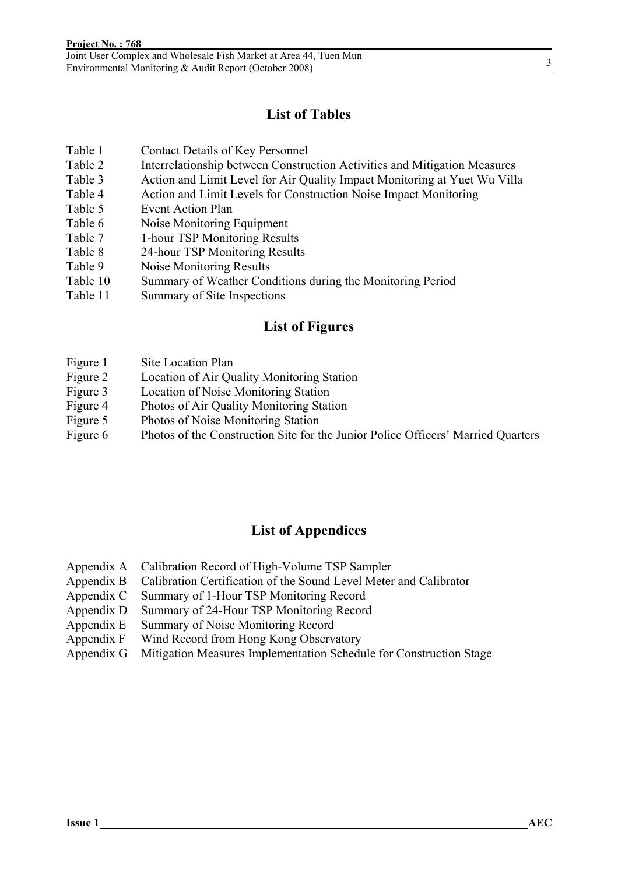### **List of Tables**

- Table 1 Contact Details of Key Personnel
- Table 2 Interrelationship between Construction Activities and Mitigation Measures
- Table 3 Action and Limit Level for Air Quality Impact Monitoring at Yuet Wu Villa
- Table 4 Action and Limit Levels for Construction Noise Impact Monitoring
- Table 5 Event Action Plan
- Table 6 Noise Monitoring Equipment
- Table 7 1-hour TSP Monitoring Results
- Table 8 24-hour TSP Monitoring Results
- Table 9 Noise Monitoring Results
- Table 10 Summary of Weather Conditions during the Monitoring Period
- Table 11 Summary of Site Inspections

#### **List of Figures**

- Figure 1 Site Location Plan
- Figure 2 Location of Air Quality Monitoring Station
- Figure 3 Location of Noise Monitoring Station
- Figure 4 Photos of Air Quality Monitoring Station
- Figure 5 Photos of Noise Monitoring Station
- Figure 6 Photos of the Construction Site for the Junior Police Officers' Married Quarters

#### **List of Appendices**

- Appendix A Calibration Record of High-Volume TSP Sampler
- Appendix B Calibration Certification of the Sound Level Meter and Calibrator
- Appendix C Summary of 1-Hour TSP Monitoring Record
- Appendix D Summary of 24-Hour TSP Monitoring Record
- Appendix E Summary of Noise Monitoring Record
- Appendix F Wind Record from Hong Kong Observatory
- Appendix G Mitigation Measures Implementation Schedule for Construction Stage

3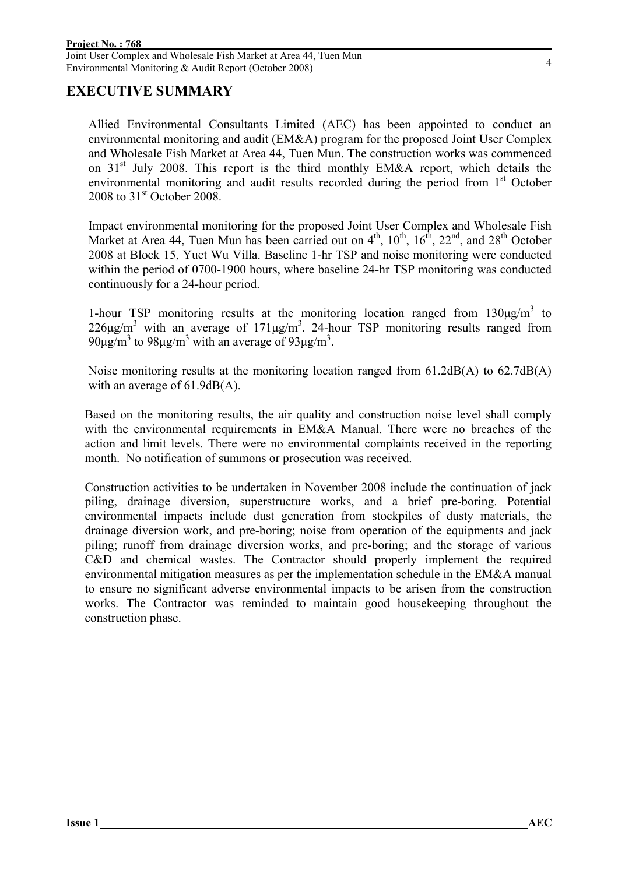#### **EXECUTIVE SUMMARY**

Allied Environmental Consultants Limited (AEC) has been appointed to conduct an environmental monitoring and audit (EM&A) program for the proposed Joint User Complex and Wholesale Fish Market at Area 44, Tuen Mun. The construction works was commenced on  $31<sup>st</sup>$  July 2008. This report is the third monthly EM&A report, which details the environmental monitoring and audit results recorded during the period from  $1<sup>st</sup>$  October 2008 to  $31<sup>st</sup>$  October 2008.

Impact environmental monitoring for the proposed Joint User Complex and Wholesale Fish Market at Area 44, Tuen Mun has been carried out on  $4<sup>th</sup>$ ,  $10<sup>th</sup>$ ,  $16<sup>th</sup>$ ,  $22<sup>nd</sup>$ , and  $28<sup>th</sup>$  October 2008 at Block 15, Yuet Wu Villa. Baseline 1-hr TSP and noise monitoring were conducted within the period of 0700-1900 hours, where baseline 24-hr TSP monitoring was conducted continuously for a 24-hour period.

1-hour TSP monitoring results at the monitoring location ranged from  $130\mu g/m^3$  to  $226\mu g/m^3$  with an average of  $171\mu g/m^3$ . 24-hour TSP monitoring results ranged from 90μg/m<sup>3</sup> to 98μg/m<sup>3</sup> with an average of 93μg/m<sup>3</sup>.

Noise monitoring results at the monitoring location ranged from 61.2dB(A) to 62.7dB(A) with an average of 61.9dB(A).

Based on the monitoring results, the air quality and construction noise level shall comply with the environmental requirements in EM&A Manual. There were no breaches of the action and limit levels. There were no environmental complaints received in the reporting month. No notification of summons or prosecution was received.

Construction activities to be undertaken in November 2008 include the continuation of jack piling, drainage diversion, superstructure works, and a brief pre-boring. Potential environmental impacts include dust generation from stockpiles of dusty materials, the drainage diversion work, and pre-boring; noise from operation of the equipments and jack piling; runoff from drainage diversion works, and pre-boring; and the storage of various C&D and chemical wastes. The Contractor should properly implement the required environmental mitigation measures as per the implementation schedule in the EM&A manual to ensure no significant adverse environmental impacts to be arisen from the construction works. The Contractor was reminded to maintain good housekeeping throughout the construction phase.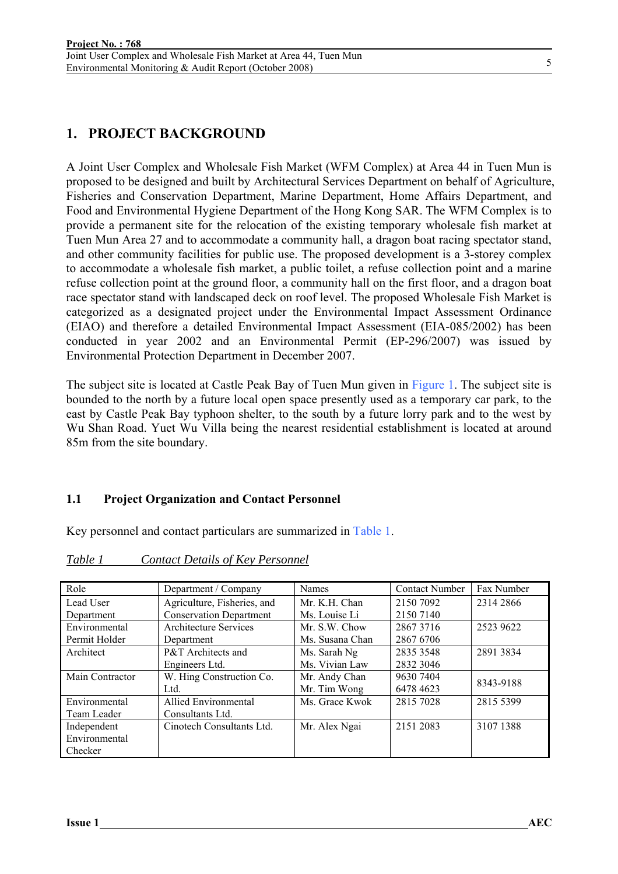# **1. PROJECT BACKGROUND**

A Joint User Complex and Wholesale Fish Market (WFM Complex) at Area 44 in Tuen Mun is proposed to be designed and built by Architectural Services Department on behalf of Agriculture, Fisheries and Conservation Department, Marine Department, Home Affairs Department, and Food and Environmental Hygiene Department of the Hong Kong SAR. The WFM Complex is to provide a permanent site for the relocation of the existing temporary wholesale fish market at Tuen Mun Area 27 and to accommodate a community hall, a dragon boat racing spectator stand, and other community facilities for public use. The proposed development is a 3-storey complex to accommodate a wholesale fish market, a public toilet, a refuse collection point and a marine refuse collection point at the ground floor, a community hall on the first floor, and a dragon boat race spectator stand with landscaped deck on roof level. The proposed Wholesale Fish Market is categorized as a designated project under the Environmental Impact Assessment Ordinance (EIAO) and therefore a detailed Environmental Impact Assessment (EIA-085/2002) has been conducted in year 2002 and an Environmental Permit (EP-296/2007) was issued by Environmental Protection Department in December 2007.

The subject site is located at Castle Peak Bay of Tuen Mun given in Figure 1. The subject site is bounded to the north by a future local open space presently used as a temporary car park, to the east by Castle Peak Bay typhoon shelter, to the south by a future lorry park and to the west by Wu Shan Road. Yuet Wu Villa being the nearest residential establishment is located at around 85m from the site boundary.

#### **1.1 Project Organization and Contact Personnel**

Key personnel and contact particulars are summarized in Table 1.

| Role            | Department / Company           | Names           | <b>Contact Number</b> | Fax Number |
|-----------------|--------------------------------|-----------------|-----------------------|------------|
| Lead User       | Agriculture, Fisheries, and    | Mr. K.H. Chan   | 2150 7092             | 2314 2866  |
| Department      | <b>Conservation Department</b> | Ms. Louise Li   | 2150 7140             |            |
| Environmental   | <b>Architecture Services</b>   | Mr. S.W. Chow   | 28673716              | 2523 9622  |
| Permit Holder   | Department                     | Ms. Susana Chan | 2867 6706             |            |
| Architect       | P&T Architects and             | Ms. Sarah Ng    | 2835 3548             | 2891 3834  |
|                 | Engineers Ltd.                 | Ms. Vivian Law  | 2832 3046             |            |
| Main Contractor | W. Hing Construction Co.       | Mr. Andy Chan   | 9630 7404             | 8343-9188  |
|                 | Ltd.                           | Mr. Tim Wong    | 6478 4623             |            |
| Environmental   | <b>Allied Environmental</b>    | Ms. Grace Kwok  | 2815 7028             | 2815 5399  |
| Team Leader     | Consultants Ltd.               |                 |                       |            |
| Independent     | Cinotech Consultants Ltd.      | Mr. Alex Ngai   | 2151 2083             | 3107 1388  |
| Environmental   |                                |                 |                       |            |
| Checker         |                                |                 |                       |            |

*Table 1 Contact Details of Key Personnel*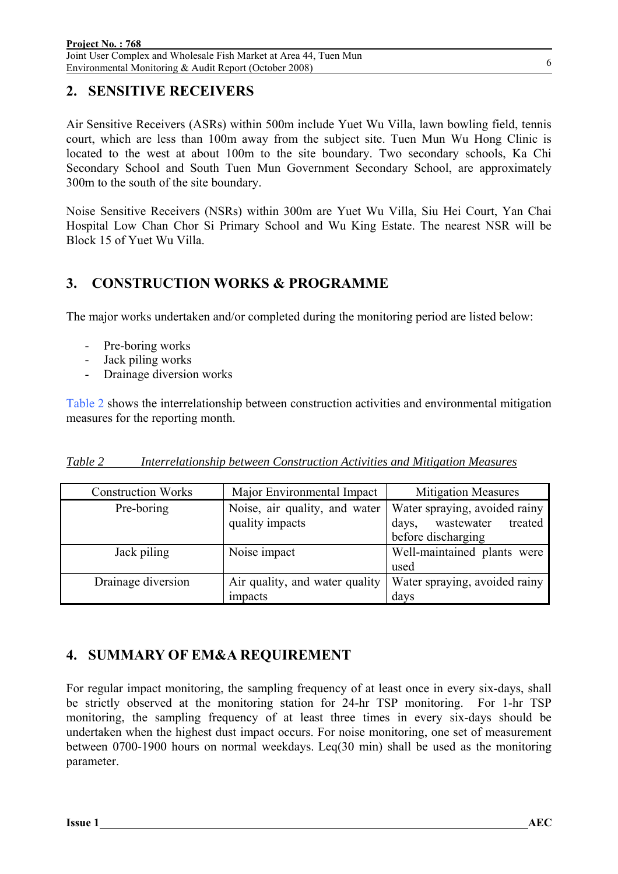### **2. SENSITIVE RECEIVERS**

Air Sensitive Receivers (ASRs) within 500m include Yuet Wu Villa, lawn bowling field, tennis court, which are less than 100m away from the subject site. Tuen Mun Wu Hong Clinic is located to the west at about 100m to the site boundary. Two secondary schools, Ka Chi Secondary School and South Tuen Mun Government Secondary School, are approximately 300m to the south of the site boundary.

Noise Sensitive Receivers (NSRs) within 300m are Yuet Wu Villa, Siu Hei Court, Yan Chai Hospital Low Chan Chor Si Primary School and Wu King Estate. The nearest NSR will be Block 15 of Yuet Wu Villa.

### **3. CONSTRUCTION WORKS & PROGRAMME**

The major works undertaken and/or completed during the monitoring period are listed below:

- Pre-boring works
- Jack piling works
- Drainage diversion works

Table 2 shows the interrelationship between construction activities and environmental mitigation measures for the reporting month.

| <b>Construction Works</b> | Major Environmental Impact     | <b>Mitigation Measures</b>     |  |
|---------------------------|--------------------------------|--------------------------------|--|
| Pre-boring                | Noise, air quality, and water  | Water spraying, avoided rainy  |  |
|                           | quality impacts                | wastewater<br>treated<br>days, |  |
|                           |                                | before discharging             |  |
| Jack piling               | Noise impact                   | Well-maintained plants were    |  |
|                           |                                | used                           |  |
| Drainage diversion        | Air quality, and water quality | Water spraying, avoided rainy  |  |
|                           | impacts                        | days                           |  |

#### **4. SUMMARY OF EM&A REQUIREMENT**

For regular impact monitoring, the sampling frequency of at least once in every six-days, shall be strictly observed at the monitoring station for 24-hr TSP monitoring. For 1-hr TSP monitoring, the sampling frequency of at least three times in every six-days should be undertaken when the highest dust impact occurs. For noise monitoring, one set of measurement between 0700-1900 hours on normal weekdays. Leq(30 min) shall be used as the monitoring parameter.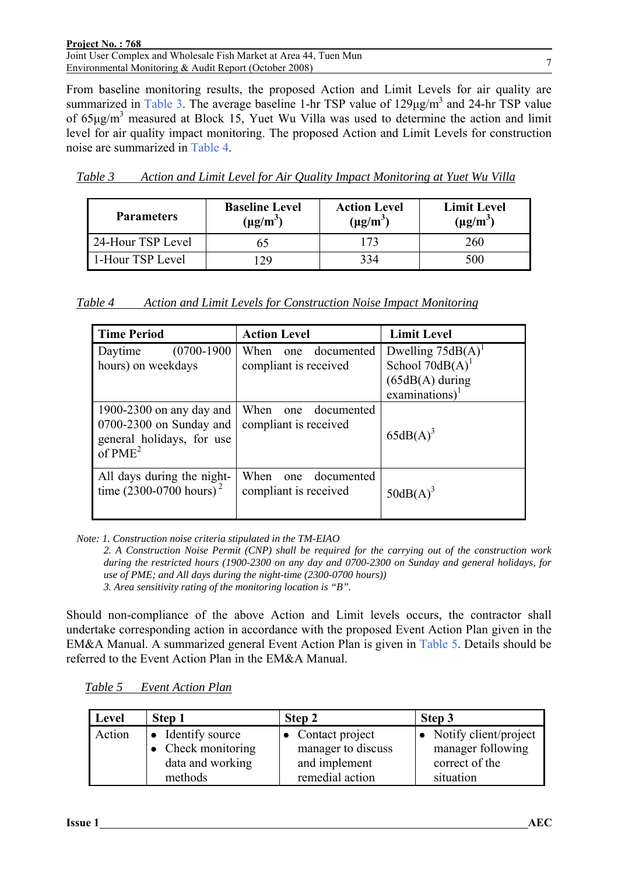| Project No.: 768                                                  |  |
|-------------------------------------------------------------------|--|
| Joint User Complex and Wholesale Fish Market at Area 44, Tuen Mun |  |
| Environmental Monitoring & Audit Report (October 2008)            |  |

From baseline monitoring results, the proposed Action and Limit Levels for air quality are summarized in Table 3. The average baseline 1-hr TSP value of  $129\mu g/m<sup>3</sup>$  and 24-hr TSP value of  $65\mu\text{g/m}^3$  measured at Block 15, Yuet Wu Villa was used to determine the action and limit level for air quality impact monitoring. The proposed Action and Limit Levels for construction noise are summarized in Table 4.

| Table 3 | Action and Limit Level for Air Quality Impact Monitoring at Yuet Wu Villa |  |  |
|---------|---------------------------------------------------------------------------|--|--|
|         |                                                                           |  |  |

| <b>Parameters</b> | <b>Baseline Level</b><br>$(\mu g/m^3)$ | <b>Action Level</b><br>$(\mu g/m^3)$ | <b>Limit Level</b><br>$(\mu g/m^3)$ |
|-------------------|----------------------------------------|--------------------------------------|-------------------------------------|
| 24-Hour TSP Level |                                        | 73                                   | 260                                 |
| 1-Hour TSP Level  | 29                                     | 334                                  | 500                                 |

*Table 4 Action and Limit Levels for Construction Noise Impact Monitoring*

| <b>Time Period</b>                                                                            | <b>Action Level</b>                                | <b>Limit Level</b>            |
|-----------------------------------------------------------------------------------------------|----------------------------------------------------|-------------------------------|
| $(0700-1900)$<br>Daytime                                                                      | When<br>documented<br>one                          | Dwelling $75dB(A)^1$          |
| hours) on weekdays                                                                            | compliant is received                              | School $70dB(A)$ <sup>1</sup> |
|                                                                                               |                                                    | $(65dB(A)$ during             |
|                                                                                               |                                                    | $examinations$ <sup>1</sup>   |
| 1900-2300 on any day and<br>0700-2300 on Sunday and<br>general holidays, for use<br>of $PME2$ | When<br>documented<br>one<br>compliant is received | $65dB(A)^3$                   |
| All days during the night-<br>time $(2300 - 0700$ hours) <sup>2</sup>                         | When<br>documented<br>one<br>compliant is received | $50dB(A)^3$                   |

*Note: 1. Construction noise criteria stipulated in the TM-EIAO* 

*2. A Construction Noise Permit (CNP) shall be required for the carrying out of the construction work during the restricted hours (1900-2300 on any day and 0700-2300 on Sunday and general holidays, for use of PME; and All days during the night-time (2300-0700 hours)) 3. Area sensitivity rating of the monitoring location is "B".* 

Should non-compliance of the above Action and Limit levels occurs, the contractor shall undertake corresponding action in accordance with the proposed Event Action Plan given in the EM&A Manual. A summarized general Event Action Plan is given in Table 5. Details should be referred to the Event Action Plan in the EM&A Manual.

| Level  | Step 1                     | Step 2                    | Step 3                  |
|--------|----------------------------|---------------------------|-------------------------|
| Action | • Identify source          | $\bullet$ Contact project | • Notify client/project |
|        | $\bullet$ Check monitoring | manager to discuss        | manager following       |
|        | data and working           | and implement             | correct of the          |
|        | methods                    | remedial action           | situation               |

*Table 5 Event Action Plan*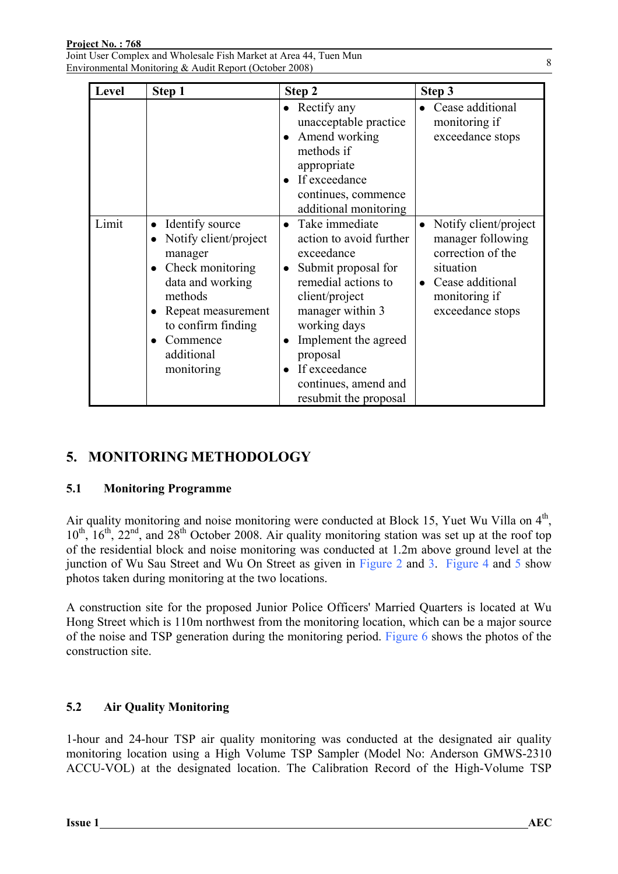Joint User Complex and Wholesale Fish Market at Area 44, Tuen Mun Environmental Monitoring & Audit Report (October 2008)

| Level | Step 1                                                                                                                                                                                                  | Step 2                                                                                                                                                                                                                                                            | Step 3                                                                                                                                                          |
|-------|---------------------------------------------------------------------------------------------------------------------------------------------------------------------------------------------------------|-------------------------------------------------------------------------------------------------------------------------------------------------------------------------------------------------------------------------------------------------------------------|-----------------------------------------------------------------------------------------------------------------------------------------------------------------|
|       |                                                                                                                                                                                                         | $\bullet$ Rectify any<br>unacceptable practice<br>Amend working<br>methods if<br>appropriate<br>If exceedance<br>continues, commence<br>additional monitoring                                                                                                     | • Cease additional<br>monitoring if<br>exceedance stops                                                                                                         |
| Limit | Identify source<br>Notify client/project<br>$\bullet$<br>manager<br>Check monitoring<br>data and working<br>methods<br>Repeat measurement<br>to confirm finding<br>Commence<br>additional<br>monitoring | Take immediate<br>action to avoid further<br>exceedance<br>Submit proposal for<br>remedial actions to<br>client/project<br>manager within 3<br>working days<br>Implement the agreed<br>proposal<br>If exceedance<br>continues, amend and<br>resubmit the proposal | Notify client/project<br>$\bullet$<br>manager following<br>correction of the<br>situation<br>Cease additional<br>$\bullet$<br>monitoring if<br>exceedance stops |

### **5. MONITORING METHODOLOGY**

#### **5.1 Monitoring Programme**

Air quality monitoring and noise monitoring were conducted at Block 15, Yuet Wu Villa on  $4<sup>th</sup>$ ,  $10^{th}$ ,  $16^{th}$ ,  $22^{nd}$ , and  $28^{th}$  October 2008. Air quality monitoring station was set up at the roof top of the residential block and noise monitoring was conducted at 1.2m above ground level at the junction of Wu Sau Street and Wu On Street as given in Figure 2 and 3. Figure 4 and 5 show photos taken during monitoring at the two locations.

A construction site for the proposed Junior Police Officers' Married Quarters is located at Wu Hong Street which is 110m northwest from the monitoring location, which can be a major source of the noise and TSP generation during the monitoring period. Figure 6 shows the photos of the construction site.

#### **5.2 Air Quality Monitoring**

1-hour and 24-hour TSP air quality monitoring was conducted at the designated air quality monitoring location using a High Volume TSP Sampler (Model No: Anderson GMWS-2310 ACCU-VOL) at the designated location. The Calibration Record of the High-Volume TSP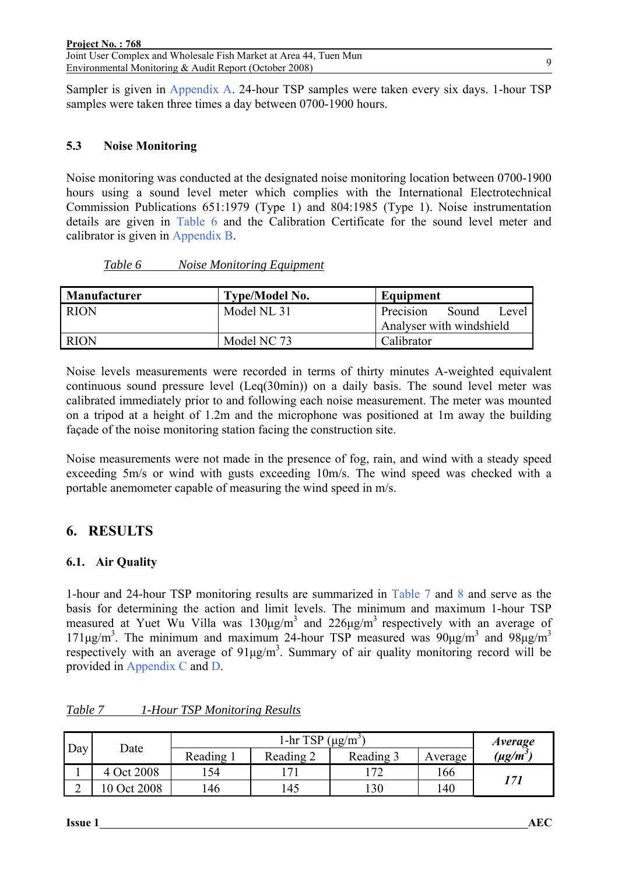Environmental Monitoring & Audit Report (October 2008)

Sampler is given in Appendix A. 24-hour TSP samples were taken every six days. 1-hour TSP samples were taken three times a day between 0700-1900 hours.

### **5.3 Noise Monitoring**

Noise monitoring was conducted at the designated noise monitoring location between 0700-1900 hours using a sound level meter which complies with the International Electrotechnical Commission Publications 651:1979 (Type 1) and 804:1985 (Type 1). Noise instrumentation details are given in Table 6 and the Calibration Certificate for the sound level meter and calibrator is given in Appendix B.

| Manufacturer | <b>Type/Model No.</b> | Equipment                   |
|--------------|-----------------------|-----------------------------|
| <b>RION</b>  | Model NL 31           | Sound<br>Precision<br>Level |
|              |                       | Analyser with windshield    |
| <b>RION</b>  | Model NC 73           | Calibrator                  |

*Table 6 Noise Monitoring Equipment*

Noise levels measurements were recorded in terms of thirty minutes A-weighted equivalent continuous sound pressure level (Leq(30min)) on a daily basis. The sound level meter was calibrated immediately prior to and following each noise measurement. The meter was mounted on a tripod at a height of 1.2m and the microphone was positioned at 1m away the building façade of the noise monitoring station facing the construction site.

Noise measurements were not made in the presence of fog, rain, and wind with a steady speed exceeding 5m/s or wind with gusts exceeding 10m/s. The wind speed was checked with a portable anemometer capable of measuring the wind speed in m/s.

# **6. RESULTS**

#### **6.1. Air Quality**

1-hour and 24-hour TSP monitoring results are summarized in Table 7 and 8 and serve as the basis for determining the action and limit levels. The minimum and maximum 1-hour TSP measured at Yuet Wu Villa was  $130\mu\text{g/m}^3$  and  $226\mu\text{g/m}^3$  respectively with an average of 171μg/m<sup>3</sup>. The minimum and maximum 24-hour TSP measured was  $90\mu g/m^3$  and  $98\mu g/m^3$ respectively with an average of  $91\mu g/m<sup>3</sup>$ . Summary of air quality monitoring record will be provided in Appendix C and D.

|     | Date       | l-hr TSP<br>$(\mu g/m^3)$ |              |           |         | Average       |  |
|-----|------------|---------------------------|--------------|-----------|---------|---------------|--|
| Day |            | Reading                   | Reading 2    | Reading 3 | Average | $(\mu g/m^3)$ |  |
|     | Oct $2008$ | .54                       | $\mathbf{r}$ | ∸         | 166     |               |  |
| ∠   | 0 Oct 2008 | 146                       | 145          | 130       | 140     | 171           |  |

*Table 7 1-Hour TSP Monitoring Results*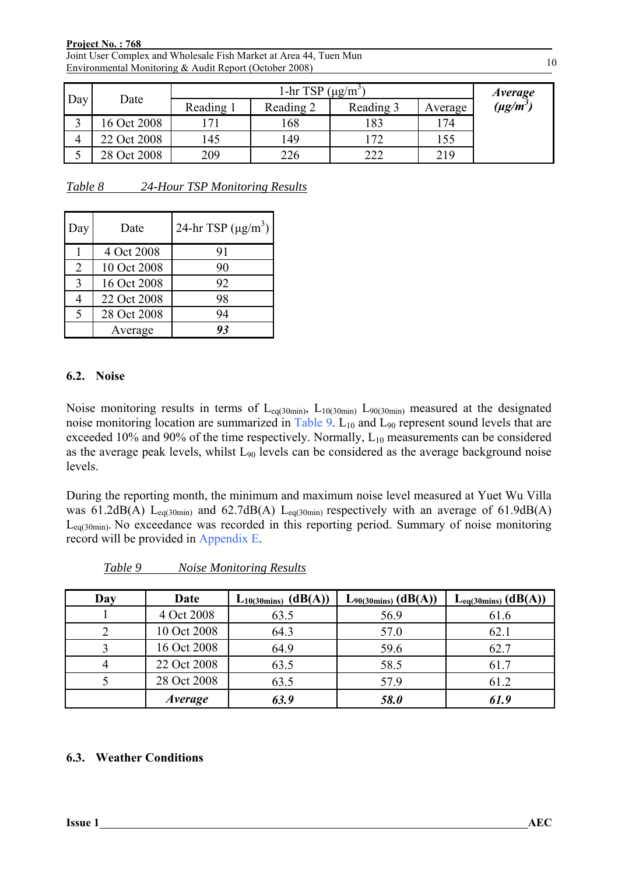#### **Project No. : 768**

Joint User Complex and Wholesale Fish Market at Area 44, Tuen Mun Environmental Monitoring & Audit Report (October 2008)

|     | Date        |         | <i>Average</i> |           |         |               |
|-----|-------------|---------|----------------|-----------|---------|---------------|
| Day |             | Reading | Reading 2      | Reading 3 | Average | $(\mu g/m^3)$ |
|     | 16 Oct 2008 | 71      | 168            | 183       | 174     |               |
| 4   | 22 Oct 2008 | 145     | 149            | 72        | 155     |               |
|     | 28 Oct 2008 | 209     | 226            | 222       | 219     |               |

*Table 8 24-Hour TSP Monitoring Results*

| Day | Date        | 24-hr TSP $(\mu g/m^3)$ |
|-----|-------------|-------------------------|
|     | 4 Oct 2008  | 91                      |
| 2   | 10 Oct 2008 | 90                      |
| 3   | 16 Oct 2008 | 92                      |
|     | 22 Oct 2008 | 98                      |
| 5   | 28 Oct 2008 | 94                      |
|     | Average     | $\partial_z^2$          |

#### **6.2. Noise**

Noise monitoring results in terms of  $L_{eq(30min)}$ ,  $L_{10(30min)}$  L<sub>90(30min</sub>) measured at the designated noise monitoring location are summarized in Table 9.  $L_{10}$  and  $L_{90}$  represent sound levels that are exceeded 10% and 90% of the time respectively. Normally,  $L_{10}$  measurements can be considered as the average peak levels, whilst  $L_{90}$  levels can be considered as the average background noise levels.

During the reporting month, the minimum and maximum noise level measured at Yuet Wu Villa was 61.2dB(A) L<sub>eq(30min)</sub> and 62.7dB(A) L<sub>eq(30min)</sub> respectively with an average of 61.9dB(A) Leq(30min). No exceedance was recorded in this reporting period. Summary of noise monitoring record will be provided in Appendix E.

| Day | Date           | $L_{10(30\text{mins})}$ (dB(A)) | $L_{90(30\text{mins})}$ (dB(A)) | $L_{eq(30 mins)} (dB(A))$ |
|-----|----------------|---------------------------------|---------------------------------|---------------------------|
|     | 4 Oct 2008     | 63.5                            | 56.9                            | 61.6                      |
|     | 10 Oct 2008    | 64.3                            | 57.0                            | 62.1                      |
|     | 16 Oct 2008    | 64.9                            | 59.6                            | 62.7                      |
|     | 22 Oct 2008    | 63.5                            | 58.5                            | 61.7                      |
|     | 28 Oct 2008    | 63.5                            | 57.9                            | 61.2                      |
|     | <i>Average</i> | 63.9                            | 58.0                            | 61.9                      |

*Table 9 Noise Monitoring Results*

#### **6.3. Weather Conditions**

10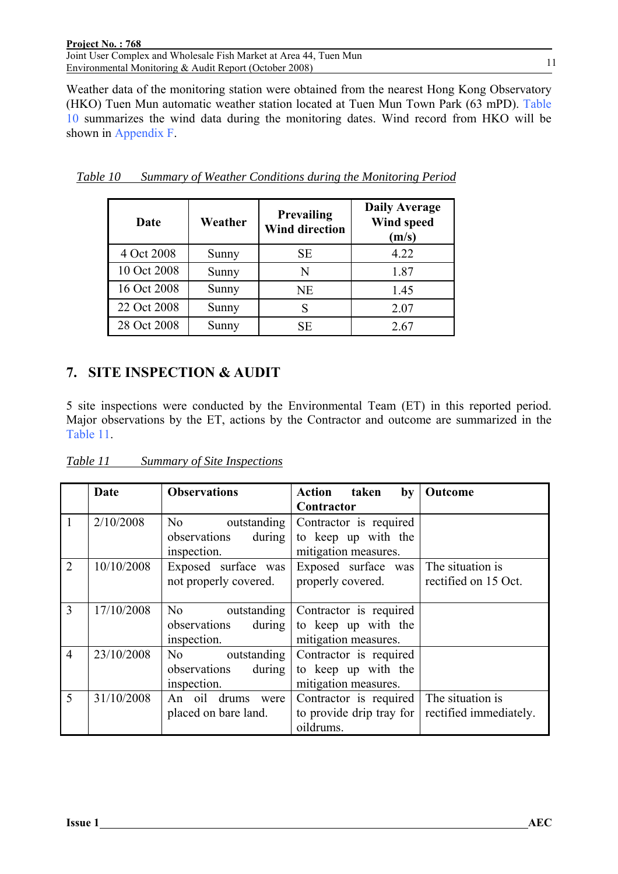| Project No.: 768                                                  |  |
|-------------------------------------------------------------------|--|
| Joint User Complex and Wholesale Fish Market at Area 44, Tuen Mun |  |
| Environmental Monitoring & Audit Report (October 2008)            |  |

Weather data of the monitoring station were obtained from the nearest Hong Kong Observatory (HKO) Tuen Mun automatic weather station located at Tuen Mun Town Park (63 mPD). Table 10 summarizes the wind data during the monitoring dates. Wind record from HKO will be shown in Appendix F.

| Date        | Weather | <b>Prevailing</b><br><b>Wind direction</b> | <b>Daily Average</b><br>Wind speed<br>(m/s) |
|-------------|---------|--------------------------------------------|---------------------------------------------|
| 4 Oct 2008  | Sunny   | <b>SE</b>                                  | 4.22                                        |
| 10 Oct 2008 | Sunny   | N                                          | 1.87                                        |
| 16 Oct 2008 | Sunny   | NE                                         | 1.45                                        |
| 22 Oct 2008 | Sunny   | S                                          | 2.07                                        |
| 28 Oct 2008 | Sunny   | SЕ                                         | 2.67                                        |

*Table 10 Summary of Weather Conditions during the Monitoring Period*

### **7. SITE INSPECTION & AUDIT**

5 site inspections were conducted by the Environmental Team (ET) in this reported period. Major observations by the ET, actions by the Contractor and outcome are summarized in the Table 11.

| Table 11 | <b>Summary of Site Inspections</b> |  |  |
|----------|------------------------------------|--|--|
|          |                                    |  |  |

|                | <b>Date</b> | <b>Observations</b>                                          | Action taken<br>by                                                    | Outcome                                    |
|----------------|-------------|--------------------------------------------------------------|-----------------------------------------------------------------------|--------------------------------------------|
|                |             |                                                              | Contractor                                                            |                                            |
| $\overline{1}$ | 2/10/2008   | No<br>outstanding<br>observations<br>during<br>inspection.   | Contractor is required<br>to keep up with the<br>mitigation measures. |                                            |
| 2              | 10/10/2008  | Exposed surface was<br>not properly covered.                 | Exposed surface was<br>properly covered.                              | The situation is<br>rectified on 15 Oct.   |
| $\overline{3}$ | 17/10/2008  | No -<br>outstanding<br>observations<br>during<br>inspection. | Contractor is required<br>to keep up with the<br>mitigation measures. |                                            |
| $\overline{4}$ | 23/10/2008  | outstanding<br>No -<br>observations<br>during<br>inspection. | Contractor is required<br>to keep up with the<br>mitigation measures. |                                            |
| $\overline{5}$ | 31/10/2008  | An oil drums<br>were<br>placed on bare land.                 | Contractor is required<br>to provide drip tray for<br>oildrums.       | The situation is<br>rectified immediately. |